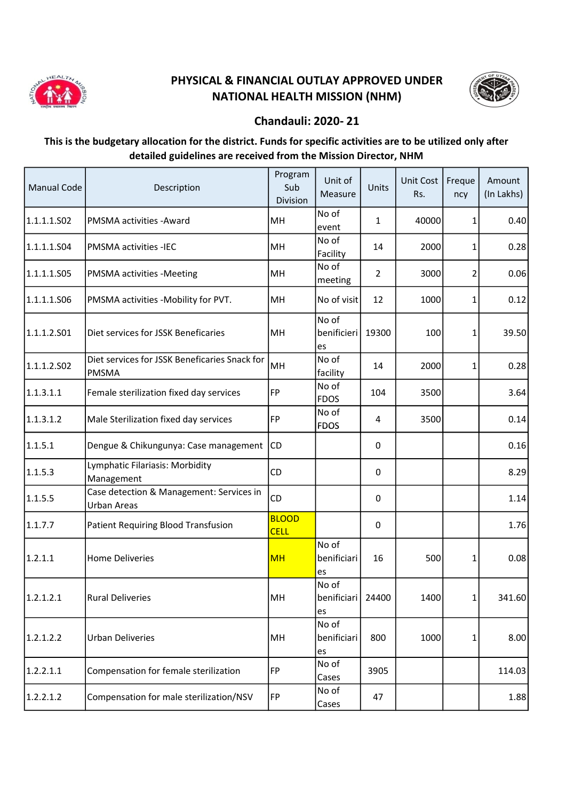

## PHYSICAL & FINANCIAL OUTLAY APPROVED UNDER NATIONAL HEALTH MISSION (NHM)



## Chandauli: 2020- 21

## This is the budgetary allocation for the district. Funds for specific activities are to be utilized only after detailed guidelines are received from the Mission Director, NHM

| <b>Manual Code</b> | Description                                                   | Program<br>Sub<br>Division  | Unit of<br>Measure         | Units          | Unit Cost<br>Rs. | Freque<br>ncy | Amount<br>(In Lakhs) |
|--------------------|---------------------------------------------------------------|-----------------------------|----------------------------|----------------|------------------|---------------|----------------------|
| 1.1.1.1.S02        | PMSMA activities - Award                                      | MН                          | No of<br>event             | 1              | 40000            | 1             | 0.40                 |
| 1.1.1.1.S04        | <b>PMSMA activities -IEC</b>                                  | MH                          | No of<br>Facility          | 14             | 2000             | 1             | 0.28                 |
| 1.1.1.1.S05        | PMSMA activities -Meeting                                     | MH                          | No of<br>meeting           | $\overline{2}$ | 3000             | 2             | 0.06                 |
| 1.1.1.1.506        | PMSMA activities -Mobility for PVT.                           | MН                          | No of visit                | 12             | 1000             | 1             | 0.12                 |
| 1.1.1.2.501        | Diet services for JSSK Beneficaries                           | MH                          | No of<br>benificieri<br>es | 19300          | 100              | 1             | 39.50                |
| 1.1.1.2.SO2        | Diet services for JSSK Beneficaries Snack for<br><b>PMSMA</b> | MH                          | No of<br>facility          | 14             | 2000             | 1             | 0.28                 |
| 1.1.3.1.1          | Female sterilization fixed day services                       | <b>FP</b>                   | No of<br><b>FDOS</b>       | 104            | 3500             |               | 3.64                 |
| 1.1.3.1.2          | Male Sterilization fixed day services                         | FP                          | No of<br><b>FDOS</b>       | 4              | 3500             |               | 0.14                 |
| 1.1.5.1            | Dengue & Chikungunya: Case management                         | CD                          |                            | $\Omega$       |                  |               | 0.16                 |
| 1.1.5.3            | Lymphatic Filariasis: Morbidity<br>Management                 | CD                          |                            | 0              |                  |               | 8.29                 |
| 1.1.5.5            | Case detection & Management: Services in<br>Urban Areas       | CD                          |                            | 0              |                  |               | 1.14                 |
| 1.1.7.7            | <b>Patient Requiring Blood Transfusion</b>                    | <b>BLOOD</b><br><b>CELL</b> |                            | $\Omega$       |                  |               | 1.76                 |
| 1.2.1.1            | <b>Home Deliveries</b>                                        | <b>MH</b>                   | No of<br>benificiari<br>es | 16             | 500              | 1             | 0.08                 |
| 1.2.1.2.1          | <b>Rural Deliveries</b>                                       | MH                          | No of<br>benificiari<br>es | 24400          | 1400             | 1             | 341.60               |
| 1.2.1.2.2          | <b>Urban Deliveries</b>                                       | MH                          | No of<br>benificiari<br>es | 800            | 1000             | 1             | 8.00                 |
| 1.2.2.1.1          | Compensation for female sterilization                         | <b>FP</b>                   | No of<br>Cases             | 3905           |                  |               | 114.03               |
| 1.2.2.1.2          | Compensation for male sterilization/NSV                       | <b>FP</b>                   | No of<br>Cases             | 47             |                  |               | 1.88                 |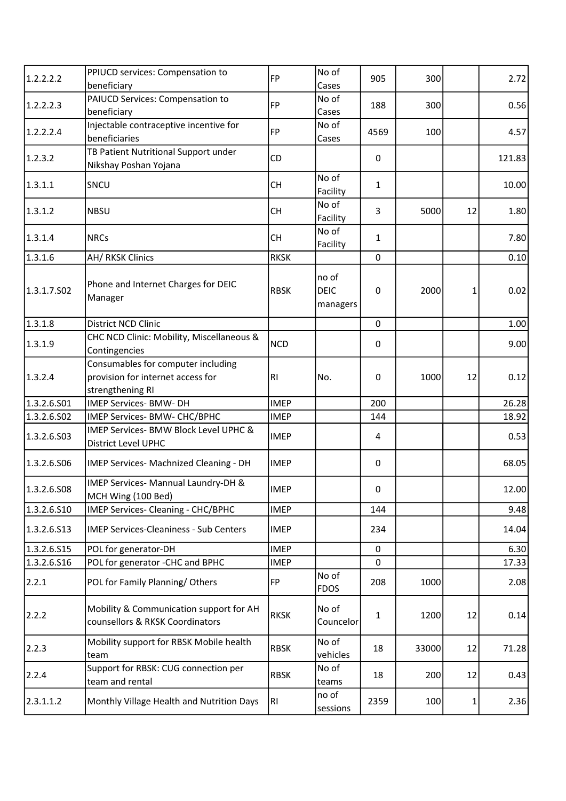| 1.2.2.2.2   | PPIUCD services: Compensation to                                                            | FP          | No of                            | 905          | 300   |    | 2.72   |
|-------------|---------------------------------------------------------------------------------------------|-------------|----------------------------------|--------------|-------|----|--------|
|             | beneficiary                                                                                 |             | Cases                            |              |       |    |        |
| 1.2.2.2.3   | PAIUCD Services: Compensation to<br>beneficiary                                             | FP          | No of<br>Cases                   | 188          | 300   |    | 0.56   |
|             | Injectable contraceptive incentive for                                                      |             | No of                            |              |       |    |        |
| 1.2.2.2.4   | beneficiaries                                                                               | <b>FP</b>   | Cases                            | 4569         | 100   |    | 4.57   |
|             | TB Patient Nutritional Support under                                                        |             |                                  |              |       |    |        |
| 1.2.3.2     | Nikshay Poshan Yojana                                                                       | CD          |                                  | 0            |       |    | 121.83 |
| 1.3.1.1     | SNCU                                                                                        | <b>CH</b>   | No of<br>Facility                | $\mathbf{1}$ |       |    | 10.00  |
| 1.3.1.2     | <b>NBSU</b>                                                                                 | <b>CH</b>   | No of<br>Facility                | 3            | 5000  | 12 | 1.80   |
| 1.3.1.4     | <b>NRCs</b>                                                                                 | <b>CH</b>   | No of<br>Facility                | 1            |       |    | 7.80   |
| 1.3.1.6     | AH/ RKSK Clinics                                                                            | <b>RKSK</b> |                                  | $\mathbf 0$  |       |    | 0.10   |
| 1.3.1.7.502 | Phone and Internet Charges for DEIC<br>Manager                                              | <b>RBSK</b> | no of<br><b>DEIC</b><br>managers | $\mathbf 0$  | 2000  | 1  | 0.02   |
| 1.3.1.8     | District NCD Clinic                                                                         |             |                                  | $\mathbf 0$  |       |    | 1.00   |
| 1.3.1.9     | CHC NCD Clinic: Mobility, Miscellaneous &<br>Contingencies                                  | <b>NCD</b>  |                                  | 0            |       |    | 9.00   |
| 1.3.2.4     | Consumables for computer including<br>provision for internet access for<br>strengthening RI | RI          | No.                              | $\mathbf 0$  | 1000  | 12 | 0.12   |
| 1.3.2.6.501 | <b>IMEP Services- BMW- DH</b>                                                               | <b>IMEP</b> |                                  | 200          |       |    | 26.28  |
| 1.3.2.6.S02 | IMEP Services- BMW- CHC/BPHC                                                                | <b>IMEP</b> |                                  | 144          |       |    | 18.92  |
| 1.3.2.6.503 | IMEP Services- BMW Block Level UPHC &<br><b>District Level UPHC</b>                         | <b>IMEP</b> |                                  | 4            |       |    | 0.53   |
| 1.3.2.6.506 | IMEP Services- Machnized Cleaning - DH                                                      | <b>IMEP</b> |                                  | $\mathbf 0$  |       |    | 68.05  |
| 1.3.2.6.508 | IMEP Services- Mannual Laundry-DH &<br>MCH Wing (100 Bed)                                   | <b>IMEP</b> |                                  | 0            |       |    | 12.00  |
| 1.3.2.6.S10 | IMEP Services- Cleaning - CHC/BPHC                                                          | <b>IMEP</b> |                                  | 144          |       |    | 9.48   |
| 1.3.2.6.513 | <b>IMEP Services-Cleaniness - Sub Centers</b>                                               | <b>IMEP</b> |                                  | 234          |       |    | 14.04  |
| 1.3.2.6.S15 | POL for generator-DH                                                                        | <b>IMEP</b> |                                  | 0            |       |    | 6.30   |
| 1.3.2.6.516 | POL for generator -CHC and BPHC                                                             | <b>IMEP</b> |                                  | 0            |       |    | 17.33  |
| 2.2.1       | POL for Family Planning/Others                                                              | <b>FP</b>   | No of<br><b>FDOS</b>             | 208          | 1000  |    | 2.08   |
| 2.2.2       | Mobility & Communication support for AH<br>counsellors & RKSK Coordinators                  | <b>RKSK</b> | No of<br>Councelor               | 1            | 1200  | 12 | 0.14   |
| 2.2.3       | Mobility support for RBSK Mobile health<br>team                                             | <b>RBSK</b> | No of<br>vehicles                | 18           | 33000 | 12 | 71.28  |
| 2.2.4       | Support for RBSK: CUG connection per<br>team and rental                                     | <b>RBSK</b> | No of<br>teams                   | 18           | 200   | 12 | 0.43   |
| 2.3.1.1.2   | Monthly Village Health and Nutrition Days                                                   | RI          | no of<br>sessions                | 2359         | 100   | 1  | 2.36   |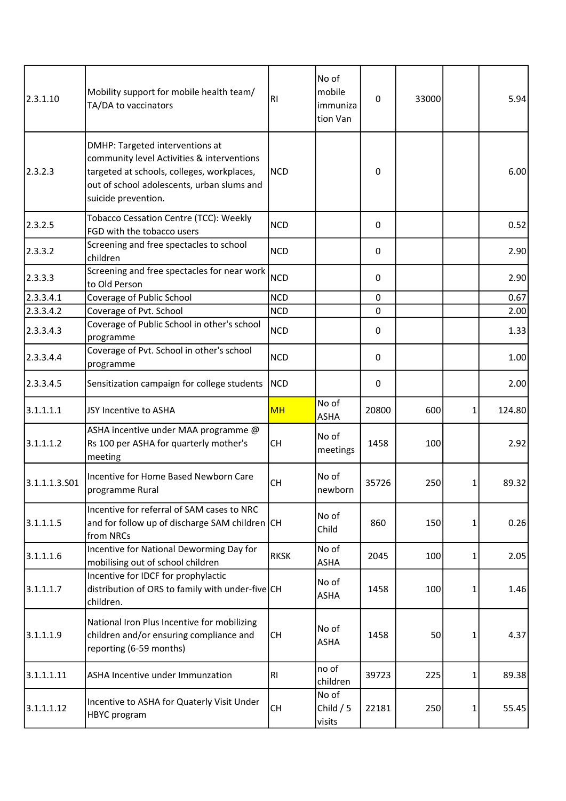| 2.3.1.10      | Mobility support for mobile health team/<br>TA/DA to vaccinators                                                                                                                                 | R <sub>1</sub> | No of<br>mobile<br>immuniza<br>tion Van | 0           | 33000 |   | 5.94   |
|---------------|--------------------------------------------------------------------------------------------------------------------------------------------------------------------------------------------------|----------------|-----------------------------------------|-------------|-------|---|--------|
| 2.3.2.3       | DMHP: Targeted interventions at<br>community level Activities & interventions<br>targeted at schools, colleges, workplaces,<br>out of school adolescents, urban slums and<br>suicide prevention. | <b>NCD</b>     |                                         | 0           |       |   | 6.00   |
| 2.3.2.5       | Tobacco Cessation Centre (TCC): Weekly<br>FGD with the tobacco users                                                                                                                             | <b>NCD</b>     |                                         | 0           |       |   | 0.52   |
| 2.3.3.2       | Screening and free spectacles to school<br>children                                                                                                                                              | <b>NCD</b>     |                                         | 0           |       |   | 2.90   |
| 2.3.3.3       | Screening and free spectacles for near work<br>to Old Person                                                                                                                                     | <b>NCD</b>     |                                         | 0           |       |   | 2.90   |
| 2.3.3.4.1     | Coverage of Public School                                                                                                                                                                        | <b>NCD</b>     |                                         | $\mathbf 0$ |       |   | 0.67   |
| 2.3.3.4.2     | Coverage of Pvt. School                                                                                                                                                                          | <b>NCD</b>     |                                         | 0           |       |   | 2.00   |
| 2.3.3.4.3     | Coverage of Public School in other's school<br>programme                                                                                                                                         | <b>NCD</b>     |                                         | 0           |       |   | 1.33   |
| 2.3.3.4.4     | Coverage of Pvt. School in other's school<br>programme                                                                                                                                           | <b>NCD</b>     |                                         | 0           |       |   | 1.00   |
| 2.3.3.4.5     | Sensitization campaign for college students                                                                                                                                                      | <b>NCD</b>     |                                         | 0           |       |   | 2.00   |
| 3.1.1.1.1     | JSY Incentive to ASHA                                                                                                                                                                            | <b>MH</b>      | No of<br><b>ASHA</b>                    | 20800       | 600   | 1 | 124.80 |
| 3.1.1.1.2     | ASHA incentive under MAA programme @<br>Rs 100 per ASHA for quarterly mother's<br>meeting                                                                                                        | <b>CH</b>      | No of<br>meetings                       | 1458        | 100   |   | 2.92   |
| 3.1.1.1.3.501 | Incentive for Home Based Newborn Care<br>programme Rural                                                                                                                                         | <b>CH</b>      | No of<br>newborn                        | 35726       | 250   | 1 | 89.32  |
| 3.1.1.1.5     | Incentive for referral of SAM cases to NRC<br>and for follow up of discharge SAM children CH<br>from NRCs                                                                                        |                | No of<br>Child                          | 860         | 150   | 1 | 0.26   |
| 3.1.1.1.6     | Incentive for National Deworming Day for<br>mobilising out of school children                                                                                                                    | <b>RKSK</b>    | No of<br>ASHA                           | 2045        | 100   | 1 | 2.05   |
| 3.1.1.1.7     | Incentive for IDCF for prophylactic<br>distribution of ORS to family with under-five CH<br>children.                                                                                             |                | No of<br><b>ASHA</b>                    | 1458        | 100   | 1 | 1.46   |
| 3.1.1.1.9     | National Iron Plus Incentive for mobilizing<br>children and/or ensuring compliance and<br>reporting (6-59 months)                                                                                | <b>CH</b>      | No of<br><b>ASHA</b>                    | 1458        | 50    | 1 | 4.37   |
| 3.1.1.1.11    | ASHA Incentive under Immunzation                                                                                                                                                                 | RI             | no of<br>children                       | 39723       | 225   | 1 | 89.38  |
| 3.1.1.1.12    | Incentive to ASHA for Quaterly Visit Under<br>HBYC program                                                                                                                                       | <b>CH</b>      | No of<br>Child $/5$<br>visits           | 22181       | 250   | 1 | 55.45  |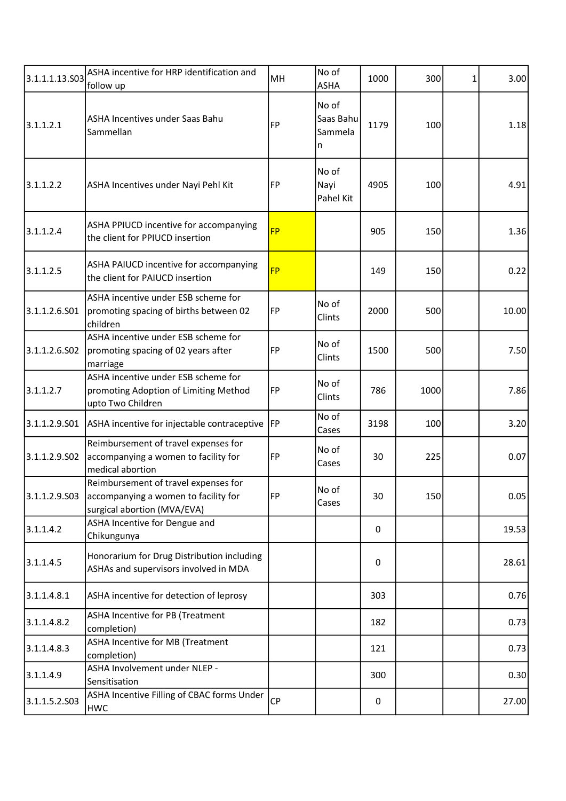| 3.1.1.1.13.503 | ASHA incentive for HRP identification and<br>follow up                                                      | MH        | No of<br><b>ASHA</b>               | 1000        | 300  | 1 | 3.00  |
|----------------|-------------------------------------------------------------------------------------------------------------|-----------|------------------------------------|-------------|------|---|-------|
| 3.1.1.2.1      | ASHA Incentives under Saas Bahu<br>Sammellan                                                                | <b>FP</b> | No of<br>Saas Bahu<br>Sammela<br>n | 1179        | 100  |   | 1.18  |
| 3.1.1.2.2      | ASHA Incentives under Nayi Pehl Kit                                                                         | FP        | No of<br>Nayi<br>Pahel Kit         | 4905        | 100  |   | 4.91  |
| 3.1.1.2.4      | ASHA PPIUCD incentive for accompanying<br>the client for PPIUCD insertion                                   | <b>FP</b> |                                    | 905         | 150  |   | 1.36  |
| 3.1.1.2.5      | ASHA PAIUCD incentive for accompanying<br>the client for PAIUCD insertion                                   | <b>FP</b> |                                    | 149         | 150  |   | 0.22  |
| 3.1.1.2.6.S01  | ASHA incentive under ESB scheme for<br>promoting spacing of births between 02<br>children                   | FP        | No of<br>Clints                    | 2000        | 500  |   | 10.00 |
| 3.1.1.2.6.S02  | ASHA incentive under ESB scheme for<br>promoting spacing of 02 years after<br>marriage                      | FP        | No of<br>Clints                    | 1500        | 500  |   | 7.50  |
| 3.1.1.2.7      | ASHA incentive under ESB scheme for<br>promoting Adoption of Limiting Method<br>upto Two Children           | FP        | No of<br>Clints                    | 786         | 1000 |   | 7.86  |
| 3.1.1.2.9.S01  | ASHA incentive for injectable contraceptive                                                                 | <b>FP</b> | No of<br>Cases                     | 3198        | 100  |   | 3.20  |
| 3.1.1.2.9.502  | Reimbursement of travel expenses for<br>accompanying a women to facility for<br>medical abortion            | <b>FP</b> | No of<br>Cases                     | 30          | 225  |   | 0.07  |
| 3.1.1.2.9.503  | Reimbursement of travel expenses for<br>accompanying a women to facility for<br>surgical abortion (MVA/EVA) | FP        | No of<br>Cases                     | 30          | 150  |   | 0.05  |
| 3.1.1.4.2      | ASHA Incentive for Dengue and<br>Chikungunya                                                                |           |                                    | 0           |      |   | 19.53 |
| 3.1.1.4.5      | Honorarium for Drug Distribution including<br>ASHAs and supervisors involved in MDA                         |           |                                    | 0           |      |   | 28.61 |
| 3.1.1.4.8.1    | ASHA incentive for detection of leprosy                                                                     |           |                                    | 303         |      |   | 0.76  |
| 3.1.1.4.8.2    | <b>ASHA Incentive for PB (Treatment</b><br>completion)                                                      |           |                                    | 182         |      |   | 0.73  |
| 3.1.1.4.8.3    | ASHA Incentive for MB (Treatment<br>completion)                                                             |           |                                    | 121         |      |   | 0.73  |
| 3.1.1.4.9      | ASHA Involvement under NLEP -<br>Sensitisation                                                              |           |                                    | 300         |      |   | 0.30  |
| 3.1.1.5.2.503  | ASHA Incentive Filling of CBAC forms Under<br>HWC                                                           | <b>CP</b> |                                    | $\mathbf 0$ |      |   | 27.00 |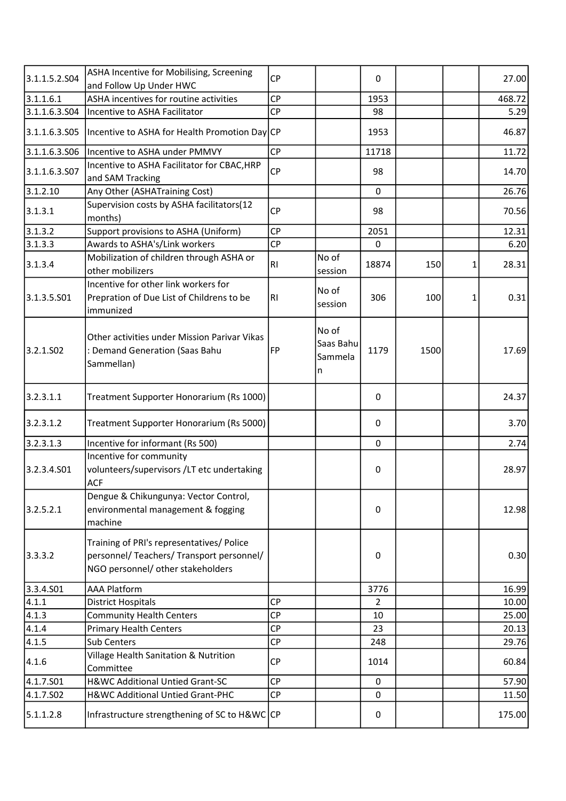| 3.1.1.5.2.S04 | ASHA Incentive for Mobilising, Screening<br>and Follow Up Under HWC                                                         | <b>CP</b> |                                    | 0           |      |   | 27.00  |
|---------------|-----------------------------------------------------------------------------------------------------------------------------|-----------|------------------------------------|-------------|------|---|--------|
| 3.1.1.6.1     | ASHA incentives for routine activities                                                                                      | <b>CP</b> |                                    | 1953        |      |   | 468.72 |
| 3.1.1.6.3.504 | Incentive to ASHA Facilitator                                                                                               | <b>CP</b> |                                    | 98          |      |   | 5.29   |
| 3.1.1.6.3.S05 | Incentive to ASHA for Health Promotion Day CP                                                                               |           |                                    | 1953        |      |   | 46.87  |
| 3.1.1.6.3.506 | Incentive to ASHA under PMMVY                                                                                               | <b>CP</b> |                                    | 11718       |      |   | 11.72  |
| 3.1.1.6.3.507 | Incentive to ASHA Facilitator for CBAC, HRP<br>and SAM Tracking                                                             | <b>CP</b> |                                    | 98          |      |   | 14.70  |
| 3.1.2.10      | Any Other (ASHATraining Cost)                                                                                               |           |                                    | 0           |      |   | 26.76  |
| 3.1.3.1       | Supervision costs by ASHA facilitators(12<br>months)                                                                        | <b>CP</b> |                                    | 98          |      |   | 70.56  |
| 3.1.3.2       | Support provisions to ASHA (Uniform)                                                                                        | <b>CP</b> |                                    | 2051        |      |   | 12.31  |
| 3.1.3.3       | Awards to ASHA's/Link workers                                                                                               | CP        |                                    | $\mathbf 0$ |      |   | 6.20   |
| 3.1.3.4       | Mobilization of children through ASHA or<br>other mobilizers                                                                | <b>RI</b> | No of<br>session                   | 18874       | 150  | 1 | 28.31  |
| 3.1.3.5.501   | Incentive for other link workers for<br>Prepration of Due List of Childrens to be<br>immunized                              | RI        | No of<br>session                   | 306         | 100  | 1 | 0.31   |
| 3.2.1.502     | Other activities under Mission Parivar Vikas<br>: Demand Generation (Saas Bahu<br>Sammellan)                                | FP        | No of<br>Saas Bahu<br>Sammela<br>n | 1179        | 1500 |   | 17.69  |
| 3.2.3.1.1     | Treatment Supporter Honorarium (Rs 1000)                                                                                    |           |                                    | 0           |      |   | 24.37  |
| 3.2.3.1.2     | Treatment Supporter Honorarium (Rs 5000)                                                                                    |           |                                    | 0           |      |   | 3.70   |
| 3.2.3.1.3     | Incentive for informant (Rs 500)                                                                                            |           |                                    | 0           |      |   | 2.74   |
| 3.2.3.4.501   | Incentive for community<br>volunteers/supervisors /LT etc undertaking<br><b>ACF</b>                                         |           |                                    | $\mathbf 0$ |      |   | 28.97  |
| 3.2.5.2.1     | Dengue & Chikungunya: Vector Control,<br>environmental management & fogging<br>machine                                      |           |                                    | $\mathbf 0$ |      |   | 12.98  |
| 3.3.3.2       | Training of PRI's representatives/ Police<br>personnel/ Teachers/ Transport personnel/<br>NGO personnel/ other stakeholders |           |                                    | $\mathbf 0$ |      |   | 0.30   |
| 3.3.4.S01     | <b>AAA Platform</b>                                                                                                         |           |                                    | 3776        |      |   | 16.99  |
| 4.1.1         | <b>District Hospitals</b>                                                                                                   | <b>CP</b> |                                    | 2           |      |   | 10.00  |
| 4.1.3         | <b>Community Health Centers</b>                                                                                             | <b>CP</b> |                                    | 10          |      |   | 25.00  |
| 4.1.4         | <b>Primary Health Centers</b>                                                                                               | <b>CP</b> |                                    | 23          |      |   | 20.13  |
| 4.1.5         | <b>Sub Centers</b>                                                                                                          | <b>CP</b> |                                    | 248         |      |   | 29.76  |
| 4.1.6         | Village Health Sanitation & Nutrition<br>Committee                                                                          | <b>CP</b> |                                    | 1014        |      |   | 60.84  |
| 4.1.7.S01     | H&WC Additional Untied Grant-SC                                                                                             | <b>CP</b> |                                    | 0           |      |   | 57.90  |
| 4.1.7.502     | H&WC Additional Untied Grant-PHC                                                                                            | CP        |                                    | 0           |      |   | 11.50  |
| 5.1.1.2.8     | Infrastructure strengthening of SC to H&WC CP                                                                               |           |                                    | 0           |      |   | 175.00 |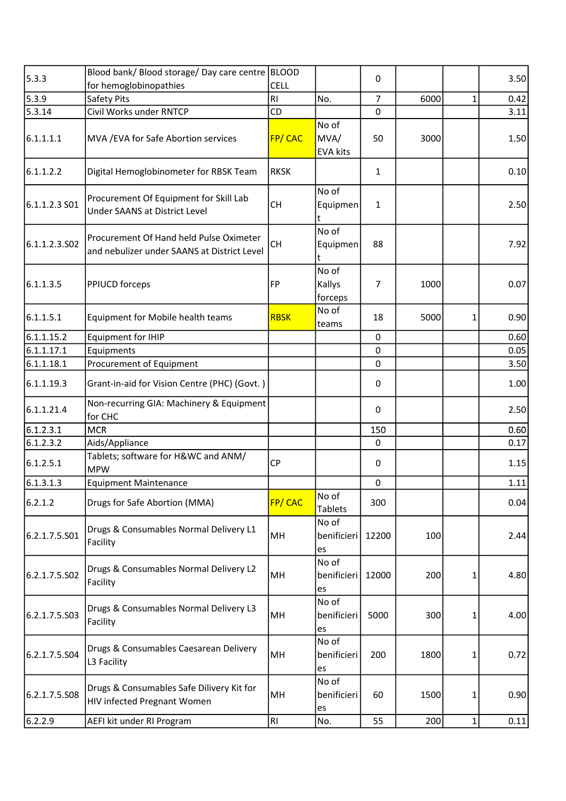| 5.3.3         | Blood bank/ Blood storage/ Day care centre   BLOOD                                     |                |                                  |                |      |              |      |
|---------------|----------------------------------------------------------------------------------------|----------------|----------------------------------|----------------|------|--------------|------|
|               | for hemoglobinopathies                                                                 | <b>CELL</b>    |                                  | 0              |      |              | 3.50 |
| 5.3.9         | Safety Pits                                                                            | R <sub>l</sub> | No.                              | $\overline{7}$ | 6000 | $\mathbf{1}$ | 0.42 |
| 5.3.14        | Civil Works under RNTCP                                                                | CD             |                                  | 0              |      |              | 3.11 |
| 6.1.1.1.1     | MVA / EVA for Safe Abortion services                                                   | <b>FP/CAC</b>  | No of<br>MVA/<br><b>EVA kits</b> | 50             | 3000 |              | 1.50 |
| 6.1.1.2.2     | Digital Hemoglobinometer for RBSK Team                                                 | <b>RKSK</b>    |                                  | 1              |      |              | 0.10 |
| 6.1.1.2.3 S01 | Procurement Of Equipment for Skill Lab<br>Under SAANS at District Level                | <b>CH</b>      | No of<br>Equipmen<br>t           | $\mathbf{1}$   |      |              | 2.50 |
| 6.1.1.2.3.502 | Procurement Of Hand held Pulse Oximeter<br>and nebulizer under SAANS at District Level | <b>CH</b>      | No of<br>Equipmen<br>t           | 88             |      |              | 7.92 |
| 6.1.1.3.5     | PPIUCD forceps                                                                         | FP             | No of<br>Kallys<br>forceps       | 7              | 1000 |              | 0.07 |
| 6.1.1.5.1     | Equipment for Mobile health teams                                                      | <b>RBSK</b>    | No of<br>teams                   | 18             | 5000 | 1            | 0.90 |
| 6.1.1.15.2    | <b>Equipment for IHIP</b>                                                              |                |                                  | $\mathbf 0$    |      |              | 0.60 |
| 6.1.1.17.1    | Equipments                                                                             |                |                                  | 0              |      |              | 0.05 |
| 6.1.1.18.1    | Procurement of Equipment                                                               |                |                                  | 0              |      |              | 3.50 |
| 6.1.1.19.3    | Grant-in-aid for Vision Centre (PHC) (Govt.)                                           |                |                                  | 0              |      |              | 1.00 |
| 6.1.1.21.4    | Non-recurring GIA: Machinery & Equipment<br>for CHC                                    |                |                                  | 0              |      |              | 2.50 |
| 6.1.2.3.1     | <b>MCR</b>                                                                             |                |                                  | 150            |      |              | 0.60 |
| 6.1.2.3.2     | Aids/Appliance                                                                         |                |                                  | 0              |      |              | 0.17 |
| 6.1.2.5.1     | Tablets; software for H&WC and ANM/<br><b>MPW</b>                                      | <b>CP</b>      |                                  | 0              |      |              | 1.15 |
| 6.1.3.1.3     | <b>Equipment Maintenance</b>                                                           |                |                                  | 0              |      |              | 1.11 |
| 6.2.1.2       | Drugs for Safe Abortion (MMA)                                                          | FP/CAC         | No of<br><b>Tablets</b>          | 300            |      |              | 0.04 |
| 6.2.1.7.5.501 | Drugs & Consumables Normal Delivery L1<br>Facility                                     | MH             | No of<br>benificieri<br>es       | 12200          | 100  |              | 2.44 |
| 6.2.1.7.5.502 | Drugs & Consumables Normal Delivery L2<br>Facility                                     | MH             | No of<br>benificieri<br>es       | 12000          | 200  | 1            | 4.80 |
| 6.2.1.7.5.S03 | Drugs & Consumables Normal Delivery L3<br>Facility                                     | MH             | No of<br>benificieri<br>es       | 5000           | 300  | 1            | 4.00 |
| 6.2.1.7.5.S04 | Drugs & Consumables Caesarean Delivery<br>L3 Facility                                  | MH             | No of<br>benificieri<br>es       | 200            | 1800 | 1            | 0.72 |
| 6.2.1.7.5.S08 | Drugs & Consumables Safe Dilivery Kit for<br>HIV infected Pregnant Women               | MH             | No of<br>benificieri<br>es       | 60             | 1500 | 1            | 0.90 |
| 6.2.2.9       | AEFI kit under RI Program                                                              | RI             | No.                              | 55             | 200  | 1            | 0.11 |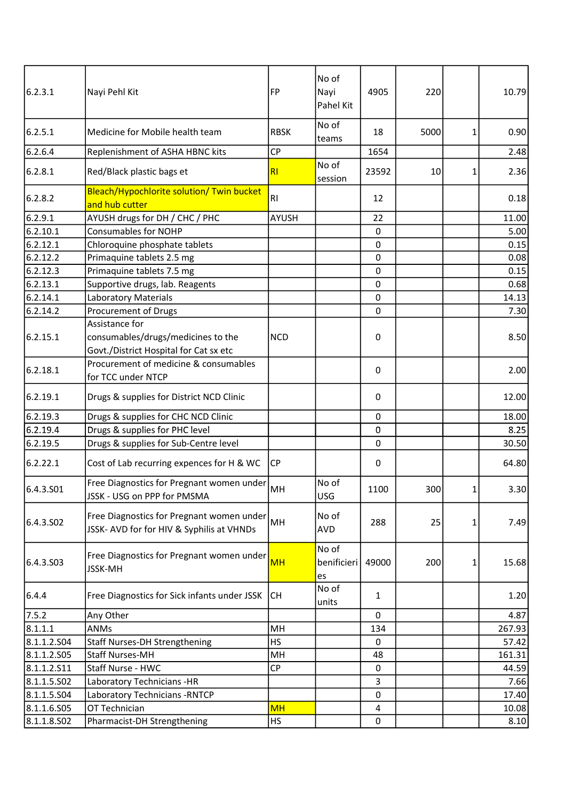| 6.2.3.1     | Nayi Pehl Kit                                                                                  | FP             | No of<br>Nayi<br>Pahel Kit | 4905             | 220  |                | 10.79  |
|-------------|------------------------------------------------------------------------------------------------|----------------|----------------------------|------------------|------|----------------|--------|
| 6.2.5.1     | Medicine for Mobile health team                                                                | <b>RBSK</b>    | No of<br>teams             | 18               | 5000 | 1              | 0.90   |
| 6.2.6.4     | Replenishment of ASHA HBNC kits                                                                | <b>CP</b>      |                            | 1654             |      |                | 2.48   |
| 6.2.8.1     | Red/Black plastic bags et                                                                      | R <sub>l</sub> | No of<br>session           | 23592            | 10   | 1              | 2.36   |
| 6.2.8.2     | Bleach/Hypochlorite solution/ Twin bucket<br>and hub cutter                                    | <b>RI</b>      |                            | 12               |      |                | 0.18   |
| 6.2.9.1     | AYUSH drugs for DH / CHC / PHC                                                                 | <b>AYUSH</b>   |                            | 22               |      |                | 11.00  |
| 6.2.10.1    | <b>Consumables for NOHP</b>                                                                    |                |                            | $\pmb{0}$        |      |                | 5.00   |
| 6.2.12.1    | Chloroquine phosphate tablets                                                                  |                |                            | $\mathbf 0$      |      |                | 0.15   |
| 6.2.12.2    | Primaquine tablets 2.5 mg                                                                      |                |                            | $\mathbf 0$      |      |                | 0.08   |
| 6.2.12.3    | Primaquine tablets 7.5 mg                                                                      |                |                            | $\pmb{0}$        |      |                | 0.15   |
| 6.2.13.1    | Supportive drugs, lab. Reagents                                                                |                |                            | $\pmb{0}$        |      |                | 0.68   |
| 6.2.14.1    | Laboratory Materials                                                                           |                |                            | $\mathbf 0$      |      |                | 14.13  |
| 6.2.14.2    | Procurement of Drugs                                                                           |                |                            | $\mathbf 0$      |      |                | 7.30   |
| 6.2.15.1    | Assistance for<br>consumables/drugs/medicines to the<br>Govt./District Hospital for Cat sx etc | <b>NCD</b>     |                            | $\boldsymbol{0}$ |      |                | 8.50   |
| 6.2.18.1    | Procurement of medicine & consumables<br>for TCC under NTCP                                    |                |                            | 0                |      |                | 2.00   |
| 6.2.19.1    | Drugs & supplies for District NCD Clinic                                                       |                |                            | $\mathbf 0$      |      |                | 12.00  |
| 6.2.19.3    | Drugs & supplies for CHC NCD Clinic                                                            |                |                            | $\mathbf 0$      |      |                | 18.00  |
| 6.2.19.4    | Drugs & supplies for PHC level                                                                 |                |                            | $\mathbf 0$      |      |                | 8.25   |
| 6.2.19.5    | Drugs & supplies for Sub-Centre level                                                          |                |                            | 0                |      |                | 30.50  |
| 6.2.22.1    | Cost of Lab recurring expences for H & WC                                                      | CP             |                            | $\mathbf 0$      |      |                | 64.80  |
| 6.4.3.501   | Free Diagnostics for Pregnant women under<br>JSSK - USG on PPP for PMSMA                       | MH             | No of<br>USG               | 1100             | 300  | 1 <sup>1</sup> | 3.30   |
| 6.4.3.502   | Free Diagnostics for Pregnant women under<br>JSSK- AVD for for HIV & Syphilis at VHNDs         | MH             | No of<br><b>AVD</b>        | 288              | 25   | 1              | 7.49   |
| 6.4.3.503   | Free Diagnostics for Pregnant women under<br><b>JSSK-MH</b>                                    | <b>MH</b>      | No of<br>benificieri<br>es | 49000            | 200  | 1              | 15.68  |
| 6.4.4       | Free Diagnostics for Sick infants under JSSK                                                   | CH             | No of<br>units             | 1                |      |                | 1.20   |
| 7.5.2       | Any Other                                                                                      |                |                            | 0                |      |                | 4.87   |
| 8.1.1.1     | ANMs                                                                                           | MH             |                            | 134              |      |                | 267.93 |
| 8.1.1.2.504 | Staff Nurses-DH Strengthening                                                                  | <b>HS</b>      |                            | 0                |      |                | 57.42  |
| 8.1.1.2.505 | <b>Staff Nurses-MH</b>                                                                         | MH             |                            | 48               |      |                | 161.31 |
| 8.1.1.2.511 | Staff Nurse - HWC                                                                              | <b>CP</b>      |                            | 0                |      |                | 44.59  |
| 8.1.1.5.502 | Laboratory Technicians -HR                                                                     |                |                            | 3                |      |                | 7.66   |
| 8.1.1.5.504 | Laboratory Technicians - RNTCP                                                                 |                |                            | 0                |      |                | 17.40  |
| 8.1.1.6.505 | OT Technician                                                                                  | <b>MH</b>      |                            | 4                |      |                | 10.08  |
| 8.1.1.8.502 | Pharmacist-DH Strengthening                                                                    | <b>HS</b>      |                            | $\mathbf 0$      |      |                | 8.10   |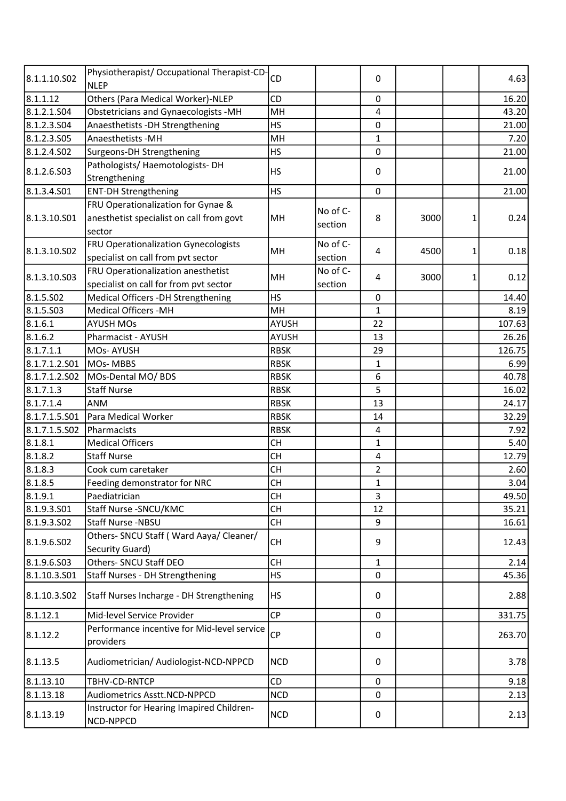| 8.1.1.10.S02  | Physiotherapist/ Occupational Therapist-CD-<br><b>NLEP</b> | CD           |          | 0                       |      |   | 4.63   |
|---------------|------------------------------------------------------------|--------------|----------|-------------------------|------|---|--------|
| 8.1.1.12      | Others (Para Medical Worker)-NLEP                          | <b>CD</b>    |          | $\mathbf 0$             |      |   | 16.20  |
| 8.1.2.1.504   | <b>Obstetricians and Gynaecologists -MH</b>                | MH           |          | 4                       |      |   | 43.20  |
| 8.1.2.3.504   | Anaesthetists - DH Strengthening                           | <b>HS</b>    |          | $\mathbf 0$             |      |   | 21.00  |
| 8.1.2.3.505   | Anaesthetists - MH                                         | MH           |          | 1                       |      |   | 7.20   |
| 8.1.2.4.502   | Surgeons-DH Strengthening                                  | <b>HS</b>    |          | $\mathbf 0$             |      |   | 21.00  |
|               | Pathologists/ Haemotologists-DH                            |              |          |                         |      |   |        |
| 8.1.2.6.503   | Strengthening                                              | <b>HS</b>    |          | $\mathbf 0$             |      |   | 21.00  |
| 8.1.3.4.501   | <b>ENT-DH Strengthening</b>                                | <b>HS</b>    |          | $\mathbf 0$             |      |   | 21.00  |
|               | FRU Operationalization for Gynae &                         |              |          |                         |      |   |        |
| 8.1.3.10.S01  | anesthetist specialist on call from govt                   | MH           | No of C- | 8                       | 3000 | 1 | 0.24   |
|               | sector                                                     |              | section  |                         |      |   |        |
|               | FRU Operationalization Gynecologists                       |              | No of C- |                         |      |   |        |
| 8.1.3.10.S02  | specialist on call from pvt sector                         | MH           | section  | 4                       | 4500 | 1 | 0.18   |
|               | FRU Operationalization anesthetist                         |              | No of C- |                         |      |   |        |
| 8.1.3.10.S03  | specialist on call for from pvt sector                     | MH           | section  | 4                       | 3000 | 1 | 0.12   |
| 8.1.5.502     | Medical Officers -DH Strengthening                         | <b>HS</b>    |          | $\mathbf 0$             |      |   | 14.40  |
| 8.1.5.503     | <b>Medical Officers -MH</b>                                | MH           |          | $\mathbf{1}$            |      |   | 8.19   |
| 8.1.6.1       | <b>AYUSH MOs</b>                                           | <b>AYUSH</b> |          | 22                      |      |   | 107.63 |
| 8.1.6.2       | Pharmacist - AYUSH                                         | <b>AYUSH</b> |          | 13                      |      |   | 26.26  |
| 8.1.7.1.1     | <b>MOs-AYUSH</b>                                           | <b>RBSK</b>  |          | 29                      |      |   | 126.75 |
| 8.1.7.1.2.S01 | <b>MOs-MBBS</b>                                            | <b>RBSK</b>  |          | 1                       |      |   | 6.99   |
| 8.1.7.1.2.502 | MOs-Dental MO/BDS                                          | <b>RBSK</b>  |          | 6                       |      |   | 40.78  |
| 8.1.7.1.3     | <b>Staff Nurse</b>                                         | <b>RBSK</b>  |          | 5                       |      |   | 16.02  |
| 8.1.7.1.4     | <b>ANM</b>                                                 | <b>RBSK</b>  |          | 13                      |      |   | 24.17  |
| 8.1.7.1.5.S01 | Para Medical Worker                                        | <b>RBSK</b>  |          | 14                      |      |   | 32.29  |
| 8.1.7.1.5.502 | Pharmacists                                                | <b>RBSK</b>  |          | $\overline{\mathbf{4}}$ |      |   | 7.92   |
| 8.1.8.1       | <b>Medical Officers</b>                                    | <b>CH</b>    |          | $\mathbf{1}$            |      |   | 5.40   |
| 8.1.8.2       | <b>Staff Nurse</b>                                         | <b>CH</b>    |          | 4                       |      |   | 12.79  |
| 8.1.8.3       | Cook cum caretaker                                         | <b>CH</b>    |          | $\overline{2}$          |      |   | 2.60   |
| 8.1.8.5       | Feeding demonstrator for NRC                               | <b>CH</b>    |          | $\mathbf{1}$            |      |   | 3.04   |
| 8.1.9.1       | Paediatrician                                              | <b>CH</b>    |          | 3                       |      |   | 49.50  |
| 8.1.9.3.501   | Staff Nurse - SNCU/KMC                                     | <b>CH</b>    |          | 12                      |      |   | 35.21  |
| 8.1.9.3.502   | Staff Nurse -NBSU                                          | <b>CH</b>    |          | 9                       |      |   | 16.61  |
|               | Others- SNCU Staff (Ward Aaya/ Cleaner/                    |              |          |                         |      |   |        |
| 8.1.9.6.SO2   | Security Guard)                                            | <b>CH</b>    |          | 9                       |      |   | 12.43  |
| 8.1.9.6.503   | Others- SNCU Staff DEO                                     | <b>CH</b>    |          | $\mathbf{1}$            |      |   | 2.14   |
| 8.1.10.3.501  | <b>Staff Nurses - DH Strengthening</b>                     | <b>HS</b>    |          | 0                       |      |   | 45.36  |
| 8.1.10.3.502  | Staff Nurses Incharge - DH Strengthening                   | <b>HS</b>    |          | 0                       |      |   | 2.88   |
| 8.1.12.1      | Mid-level Service Provider                                 | <b>CP</b>    |          | 0                       |      |   | 331.75 |
|               | Performance incentive for Mid-level service                |              |          |                         |      |   |        |
| 8.1.12.2      | providers                                                  | <b>CP</b>    |          | 0                       |      |   | 263.70 |
| 8.1.13.5      | Audiometrician/ Audiologist-NCD-NPPCD                      | <b>NCD</b>   |          | 0                       |      |   | 3.78   |
| 8.1.13.10     | TBHV-CD-RNTCP                                              | <b>CD</b>    |          | $\mathbf 0$             |      |   | 9.18   |
| 8.1.13.18     | Audiometrics Asstt.NCD-NPPCD                               | <b>NCD</b>   |          | 0                       |      |   | 2.13   |
| 8.1.13.19     | Instructor for Hearing Imapired Children-<br>NCD-NPPCD     | <b>NCD</b>   |          | 0                       |      |   | 2.13   |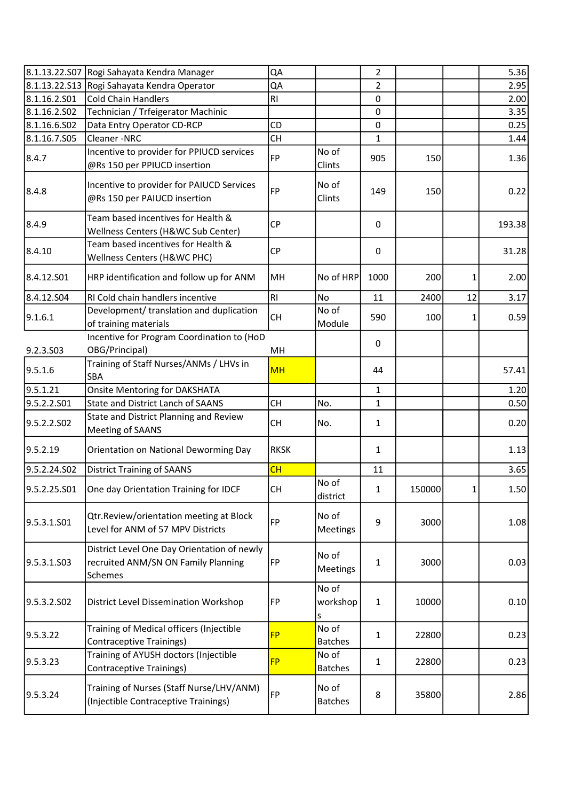|                         | 8.1.13.22.S07 Rogi Sahayata Kendra Manager                                                    | QA             |                         | $\overline{2}$ |        |              | 5.36   |
|-------------------------|-----------------------------------------------------------------------------------------------|----------------|-------------------------|----------------|--------|--------------|--------|
|                         | 8.1.13.22.S13 Rogi Sahayata Kendra Operator                                                   | QA             |                         | 2              |        |              | 2.95   |
| 8.1.16.2.S01            | <b>Cold Chain Handlers</b>                                                                    | R <sub>l</sub> |                         | 0              |        |              | 2.00   |
| 8.1.16.2.502            | Technician / Trfeigerator Machinic                                                            |                |                         | 0              |        |              | 3.35   |
| 8.1.16.6.S02            | Data Entry Operator CD-RCP                                                                    | CD             |                         | $\mathbf 0$    |        |              | 0.25   |
| 8.1.16.7.S05            | Cleaner-NRC                                                                                   | <b>CH</b>      |                         | 1              |        |              | 1.44   |
| 8.4.7                   | Incentive to provider for PPIUCD services<br>@Rs 150 per PPIUCD insertion                     | <b>FP</b>      | No of<br>Clints         | 905            | 150    |              | 1.36   |
| 8.4.8                   | Incentive to provider for PAIUCD Services<br>@Rs 150 per PAIUCD insertion                     | <b>FP</b>      | No of<br>Clints         | 149            | 150    |              | 0.22   |
| 8.4.9                   | Team based incentives for Health &<br>Wellness Centers (H&WC Sub Center)                      | <b>CP</b>      |                         | 0              |        |              | 193.38 |
| 8.4.10                  | Team based incentives for Health &<br>Wellness Centers (H&WC PHC)                             | <b>CP</b>      |                         | $\mathbf 0$    |        |              | 31.28  |
| 8.4.12.501              | HRP identification and follow up for ANM                                                      | MH             | No of HRP               | 1000           | 200    | 1            | 2.00   |
| 8.4.12.504              | RI Cold chain handlers incentive                                                              | RI             | No                      | 11             | 2400   | 12           | 3.17   |
| 9.1.6.1                 | Development/ translation and duplication<br>of training materials                             | <b>CH</b>      | No of<br>Module         | 590            | 100    | 1            | 0.59   |
| 9.2.3.S03               | Incentive for Program Coordination to (HoD<br>OBG/Principal)                                  | MH             |                         | 0              |        |              |        |
| 9.5.1.6                 | Training of Staff Nurses/ANMs / LHVs in<br>SBA                                                | <b>MH</b>      |                         | 44             |        |              | 57.41  |
| 9.5.1.21                | <b>Onsite Mentoring for DAKSHATA</b>                                                          |                |                         | 1              |        |              | 1.20   |
| 9.5.2.2.S01             | <b>State and District Lanch of SAANS</b>                                                      | <b>CH</b>      | No.                     | 1              |        |              | 0.50   |
| 9.5.2.2.SO <sub>2</sub> | State and District Planning and Review<br>Meeting of SAANS                                    | <b>CH</b>      | No.                     | 1              |        |              | 0.20   |
| 9.5.2.19                | Orientation on National Deworming Day                                                         | <b>RKSK</b>    |                         | 1              |        |              | 1.13   |
| 9.5.2.24.S02            | <b>District Training of SAANS</b>                                                             | CH             |                         | 11             |        |              | 3.65   |
| 9.5.2.25.S01            | One day Orientation Training for IDCF                                                         | <b>CH</b>      | No of<br>district       | 1              | 150000 | $\mathbf{1}$ | 1.50   |
| 9.5.3.1.501             | Qtr.Review/orientation meeting at Block<br>Level for ANM of 57 MPV Districts                  | <b>FP</b>      | No of<br>Meetings       | 9              | 3000   |              | 1.08   |
| 9.5.3.1.503             | District Level One Day Orientation of newly<br>recruited ANM/SN ON Family Planning<br>Schemes | FP             | No of<br>Meetings       | 1              | 3000   |              | 0.03   |
| 9.5.3.2.502             | District Level Dissemination Workshop                                                         | FP             | No of<br>workshop<br>s  | $\mathbf{1}$   | 10000  |              | 0.10   |
| 9.5.3.22                | Training of Medical officers (Injectible<br><b>Contraceptive Trainings)</b>                   | <b>FP</b>      | No of<br><b>Batches</b> | 1              | 22800  |              | 0.23   |
| 9.5.3.23                | Training of AYUSH doctors (Injectible<br><b>Contraceptive Trainings)</b>                      | <b>FP</b>      | No of<br><b>Batches</b> | 1              | 22800  |              | 0.23   |
| 9.5.3.24                | Training of Nurses (Staff Nurse/LHV/ANM)<br>(Injectible Contraceptive Trainings)              | <b>FP</b>      | No of<br><b>Batches</b> | 8              | 35800  |              | 2.86   |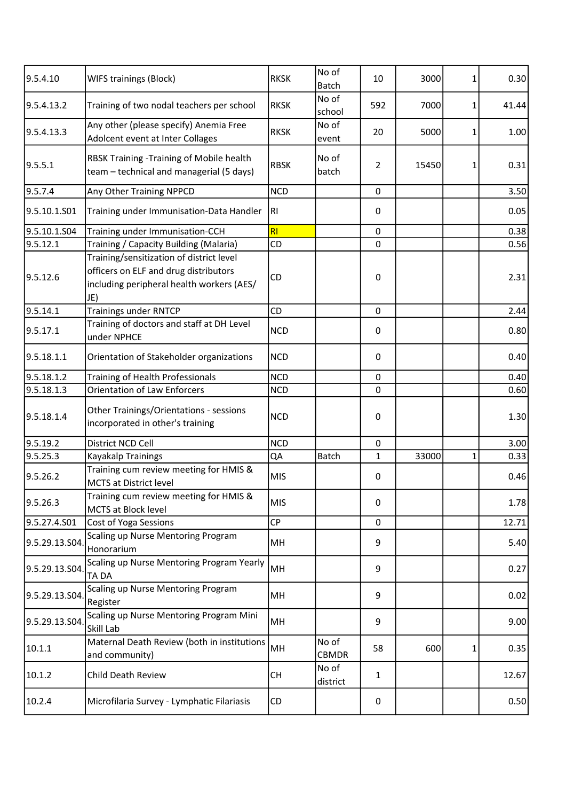| 9.5.4.10       | WIFS trainings (Block)                                                                                                                | <b>RKSK</b> | No of<br><b>Batch</b> | 10               | 3000  | 1 | 0.30  |
|----------------|---------------------------------------------------------------------------------------------------------------------------------------|-------------|-----------------------|------------------|-------|---|-------|
| 9.5.4.13.2     | Training of two nodal teachers per school                                                                                             | <b>RKSK</b> | No of<br>school       | 592              | 7000  | 1 | 41.44 |
| 9.5.4.13.3     | Any other (please specify) Anemia Free<br>Adolcent event at Inter Collages                                                            | <b>RKSK</b> | No of<br>event        | 20               | 5000  | 1 | 1.00  |
| 9.5.5.1        | RBSK Training - Training of Mobile health<br>team - technical and managerial (5 days)                                                 | <b>RBSK</b> | No of<br>batch        | 2                | 15450 | 1 | 0.31  |
| 9.5.7.4        | Any Other Training NPPCD                                                                                                              | <b>NCD</b>  |                       | $\boldsymbol{0}$ |       |   | 3.50  |
| 9.5.10.1.S01   | Training under Immunisation-Data Handler                                                                                              | RI.         |                       | $\mathbf 0$      |       |   | 0.05  |
| 9.5.10.1.S04   | Training under Immunisation-CCH                                                                                                       | RI          |                       | $\pmb{0}$        |       |   | 0.38  |
| 9.5.12.1       | Training / Capacity Building (Malaria)                                                                                                | CD          |                       | $\mathbf 0$      |       |   | 0.56  |
| 9.5.12.6       | Training/sensitization of district level<br>officers on ELF and drug distributors<br>including peripheral health workers (AES/<br>JE) | CD          |                       | $\mathbf 0$      |       |   | 2.31  |
| 9.5.14.1       | <b>Trainings under RNTCP</b>                                                                                                          | CD          |                       | $\mathbf 0$      |       |   | 2.44  |
| 9.5.17.1       | Training of doctors and staff at DH Level<br>under NPHCE                                                                              | <b>NCD</b>  |                       | 0                |       |   | 0.80  |
| 9.5.18.1.1     | Orientation of Stakeholder organizations                                                                                              | <b>NCD</b>  |                       | 0                |       |   | 0.40  |
| 9.5.18.1.2     | Training of Health Professionals                                                                                                      | <b>NCD</b>  |                       | $\mathbf 0$      |       |   | 0.40  |
| 9.5.18.1.3     | <b>Orientation of Law Enforcers</b>                                                                                                   | <b>NCD</b>  |                       | 0                |       |   | 0.60  |
| 9.5.18.1.4     | Other Trainings/Orientations - sessions<br>incorporated in other's training                                                           | <b>NCD</b>  |                       | $\boldsymbol{0}$ |       |   | 1.30  |
| 9.5.19.2       | District NCD Cell                                                                                                                     | <b>NCD</b>  |                       | $\pmb{0}$        |       |   | 3.00  |
| 9.5.25.3       | Kayakalp Trainings                                                                                                                    | QA          | <b>Batch</b>          | 1                | 33000 | 1 | 0.33  |
| 9.5.26.2       | Training cum review meeting for HMIS &<br><b>MCTS at District level</b>                                                               | <b>MIS</b>  |                       | 0                |       |   | 0.46  |
| 9.5.26.3       | Training cum review meeting for HMIS &<br><b>MCTS at Block level</b>                                                                  | <b>MIS</b>  |                       | $\pmb{0}$        |       |   | 1.78  |
| 9.5.27.4.S01   | Cost of Yoga Sessions                                                                                                                 | <b>CP</b>   |                       | 0                |       |   | 12.71 |
| 9.5.29.13.S04. | Scaling up Nurse Mentoring Program<br>Honorarium                                                                                      | MH          |                       | 9                |       |   | 5.40  |
| 9.5.29.13.S04  | Scaling up Nurse Mentoring Program Yearly<br><b>TADA</b>                                                                              | MH          |                       | 9                |       |   | 0.27  |
| 9.5.29.13.S04. | Scaling up Nurse Mentoring Program<br>Register                                                                                        | MH          |                       | 9                |       |   | 0.02  |
| 9.5.29.13.S04. | Scaling up Nurse Mentoring Program Mini<br>Skill Lab                                                                                  | MH          |                       | 9                |       |   | 9.00  |
| 10.1.1         | Maternal Death Review (both in institutions<br>and community)                                                                         | MH          | No of<br><b>CBMDR</b> | 58               | 600   | 1 | 0.35  |
| 10.1.2         | <b>Child Death Review</b>                                                                                                             | CH          | No of<br>district     | 1                |       |   | 12.67 |
| 10.2.4         | Microfilaria Survey - Lymphatic Filariasis                                                                                            | CD          |                       | 0                |       |   | 0.50  |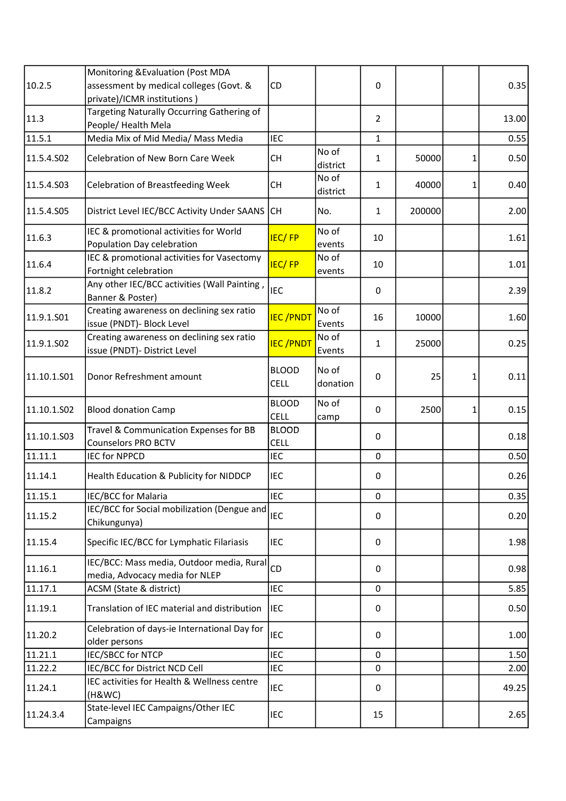|             | Monitoring & Evaluation (Post MDA                                           |                             |                   |                |        |   |       |
|-------------|-----------------------------------------------------------------------------|-----------------------------|-------------------|----------------|--------|---|-------|
| 10.2.5      | assessment by medical colleges (Govt. &                                     | CD                          |                   | 0              |        |   | 0.35  |
|             | private)/ICMR institutions)                                                 |                             |                   |                |        |   |       |
| 11.3        | Targeting Naturally Occurring Gathering of<br>People/ Health Mela           |                             |                   | $\overline{2}$ |        |   | 13.00 |
| 11.5.1      | Media Mix of Mid Media/ Mass Media                                          | <b>IEC</b>                  |                   | $\mathbf{1}$   |        |   | 0.55  |
| 11.5.4.S02  | Celebration of New Born Care Week                                           | <b>CH</b>                   | No of<br>district | 1              | 50000  | 1 | 0.50  |
| 11.5.4.S03  | <b>Celebration of Breastfeeding Week</b>                                    | <b>CH</b>                   | No of<br>district | 1              | 40000  | 1 | 0.40  |
| 11.5.4.S05  | District Level IEC/BCC Activity Under SAANS                                 | lсн                         | No.               | $\mathbf{1}$   | 200000 |   | 2.00  |
| 11.6.3      | IEC & promotional activities for World<br>Population Day celebration        | <b>IEC/FP</b>               | No of<br>events   | 10             |        |   | 1.61  |
| 11.6.4      | IEC & promotional activities for Vasectomy<br>Fortnight celebration         | <b>IEC/FP</b>               | No of<br>events   | 10             |        |   | 1.01  |
| 11.8.2      | Any other IEC/BCC activities (Wall Painting,<br>Banner & Poster)            | <b>IEC</b>                  |                   | 0              |        |   | 2.39  |
| 11.9.1.S01  | Creating awareness on declining sex ratio<br>issue (PNDT)- Block Level      | <b>IEC/PNDT</b>             | No of<br>Events   | 16             | 10000  |   | 1.60  |
| 11.9.1.SO2  | Creating awareness on declining sex ratio<br>issue (PNDT)- District Level   | <b>IEC/PNDT</b>             | No of<br>Events   | 1              | 25000  |   | 0.25  |
| 11.10.1.501 | Donor Refreshment amount                                                    | <b>BLOOD</b><br><b>CELL</b> | No of<br>donation | $\mathbf 0$    | 25     | 1 | 0.11  |
| 11.10.1.502 | <b>Blood donation Camp</b>                                                  | <b>BLOOD</b><br><b>CELL</b> | No of<br>camp     | 0              | 2500   | 1 | 0.15  |
| 11.10.1.503 | Travel & Communication Expenses for BB<br><b>Counselors PRO BCTV</b>        | <b>BLOOD</b><br><b>CELL</b> |                   | 0              |        |   | 0.18  |
| 11.11.1     | <b>IEC for NPPCD</b>                                                        | <b>IEC</b>                  |                   | $\mathbf 0$    |        |   | 0.50  |
| 11.14.1     | Health Education & Publicity for NIDDCP                                     | IEC                         |                   | 0              |        |   | 0.26  |
| 11.15.1     | IEC/BCC for Malaria                                                         | <b>IEC</b>                  |                   | 0              |        |   | 0.35  |
| 11.15.2     | IEC/BCC for Social mobilization (Dengue and<br>Chikungunya)                 | <b>IEC</b>                  |                   | 0              |        |   | 0.20  |
| 11.15.4     | Specific IEC/BCC for Lymphatic Filariasis                                   | IEC                         |                   | 0              |        |   | 1.98  |
| 11.16.1     | IEC/BCC: Mass media, Outdoor media, Rural<br>media, Advocacy media for NLEP | CD                          |                   | 0              |        |   | 0.98  |
| 11.17.1     | ACSM (State & district)                                                     | <b>IEC</b>                  |                   | $\Omega$       |        |   | 5.85  |
| 11.19.1     | Translation of IEC material and distribution                                | <b>IEC</b>                  |                   | 0              |        |   | 0.50  |
| 11.20.2     | Celebration of days-ie International Day for<br>older persons               | <b>IEC</b>                  |                   | 0              |        |   | 1.00  |
| 11.21.1     | <b>IEC/SBCC for NTCP</b>                                                    | <b>IEC</b>                  |                   | 0              |        |   | 1.50  |
| 11.22.2     | IEC/BCC for District NCD Cell                                               | <b>IEC</b>                  |                   | $\mathbf{0}$   |        |   | 2.00  |
| 11.24.1     | IEC activities for Health & Wellness centre<br>(H&WC)                       | <b>IEC</b>                  |                   | 0              |        |   | 49.25 |
| 11.24.3.4   | State-level IEC Campaigns/Other IEC<br>Campaigns                            | <b>IEC</b>                  |                   | 15             |        |   | 2.65  |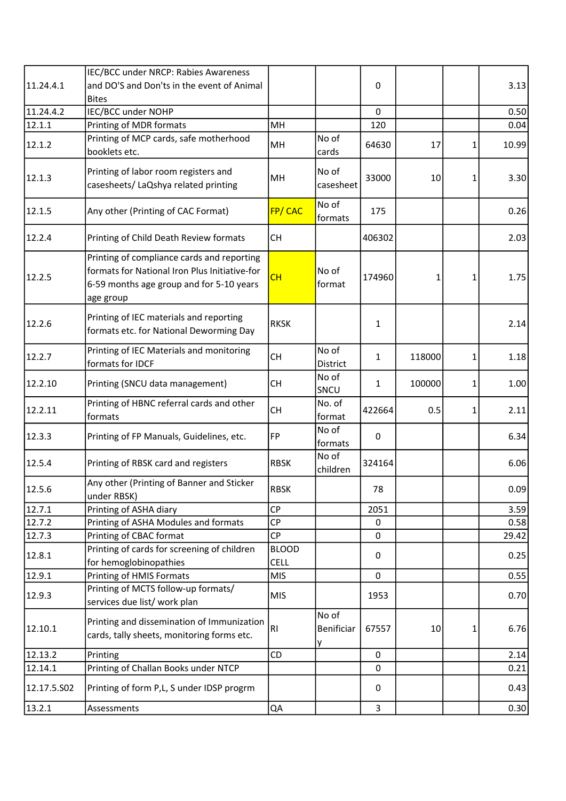|                     | IEC/BCC under NRCP: Rabies Awareness                                                                                                                 |                             |                          |                    |        |   |              |
|---------------------|------------------------------------------------------------------------------------------------------------------------------------------------------|-----------------------------|--------------------------|--------------------|--------|---|--------------|
| 11.24.4.1           | and DO'S and Don'ts in the event of Animal                                                                                                           |                             |                          | $\mathbf 0$        |        |   | 3.13         |
|                     | <b>Bites</b>                                                                                                                                         |                             |                          |                    |        |   |              |
| 11.24.4.2<br>12.1.1 | IEC/BCC under NOHP<br>Printing of MDR formats                                                                                                        | MH                          |                          | $\mathbf 0$<br>120 |        |   | 0.50<br>0.04 |
|                     | Printing of MCP cards, safe motherhood                                                                                                               |                             | No of                    |                    |        |   |              |
| 12.1.2              | booklets etc.                                                                                                                                        | MH                          | cards                    | 64630              | 17     | 1 | 10.99        |
| 12.1.3              | Printing of labor room registers and<br>casesheets/ LaQshya related printing                                                                         | MH                          | No of<br>casesheet       | 33000              | 10     | 1 | 3.30         |
|                     |                                                                                                                                                      |                             |                          |                    |        |   |              |
| 12.1.5              | Any other (Printing of CAC Format)                                                                                                                   | FP/CAC                      | No of<br>formats         | 175                |        |   | 0.26         |
| 12.2.4              | Printing of Child Death Review formats                                                                                                               | <b>CH</b>                   |                          | 406302             |        |   | 2.03         |
| 12.2.5              | Printing of compliance cards and reporting<br>formats for National Iron Plus Initiative-for<br>6-59 months age group and for 5-10 years<br>age group | CH                          | No of<br>format          | 174960             | 1      | 1 | 1.75         |
| 12.2.6              | Printing of IEC materials and reporting<br>formats etc. for National Deworming Day                                                                   | <b>RKSK</b>                 |                          | 1                  |        |   | 2.14         |
| 12.2.7              | Printing of IEC Materials and monitoring<br>formats for IDCF                                                                                         | <b>CH</b>                   | No of<br>District        | 1                  | 118000 | 1 | 1.18         |
| 12.2.10             | Printing (SNCU data management)                                                                                                                      | <b>CH</b>                   | No of<br>SNCU            | 1                  | 100000 | 1 | 1.00         |
| 12.2.11             | Printing of HBNC referral cards and other<br>formats                                                                                                 | <b>CH</b>                   | No. of<br>format         | 422664             | 0.5    | 1 | 2.11         |
| 12.3.3              | Printing of FP Manuals, Guidelines, etc.                                                                                                             | <b>FP</b>                   | No of<br>formats         | $\boldsymbol{0}$   |        |   | 6.34         |
| 12.5.4              | Printing of RBSK card and registers                                                                                                                  | <b>RBSK</b>                 | No of<br>children        | 324164             |        |   | 6.06         |
| 12.5.6              | Any other (Printing of Banner and Sticker<br>under RBSK)                                                                                             | <b>RBSK</b>                 |                          | 78                 |        |   | 0.09         |
| 12.7.1              | Printing of ASHA diary                                                                                                                               | <b>CP</b>                   |                          | 2051               |        |   | 3.59         |
| 12.7.2              | Printing of ASHA Modules and formats                                                                                                                 | <b>CP</b>                   |                          | 0                  |        |   | 0.58         |
| 12.7.3              | Printing of CBAC format                                                                                                                              | <b>CP</b>                   |                          | 0                  |        |   | 29.42        |
| 12.8.1              | Printing of cards for screening of children<br>for hemoglobinopathies                                                                                | <b>BLOOD</b><br><b>CELL</b> |                          | 0                  |        |   | 0.25         |
| 12.9.1              | Printing of HMIS Formats                                                                                                                             | <b>MIS</b>                  |                          | $\mathbf 0$        |        |   | 0.55         |
| 12.9.3              | Printing of MCTS follow-up formats/<br>services due list/ work plan                                                                                  | <b>MIS</b>                  |                          | 1953               |        |   | 0.70         |
| 12.10.1             | Printing and dissemination of Immunization<br>cards, tally sheets, monitoring forms etc.                                                             | RI                          | No of<br>Benificiar<br>у | 67557              | 10     | 1 | 6.76         |
| 12.13.2             | Printing                                                                                                                                             | CD                          |                          | $\mathbf 0$        |        |   | 2.14         |
| 12.14.1             | Printing of Challan Books under NTCP                                                                                                                 |                             |                          | $\mathbf 0$        |        |   | 0.21         |
| 12.17.5.502         | Printing of form P,L, S under IDSP progrm                                                                                                            |                             |                          | 0                  |        |   | 0.43         |
| 13.2.1              | Assessments                                                                                                                                          | QA                          |                          | 3                  |        |   | 0.30         |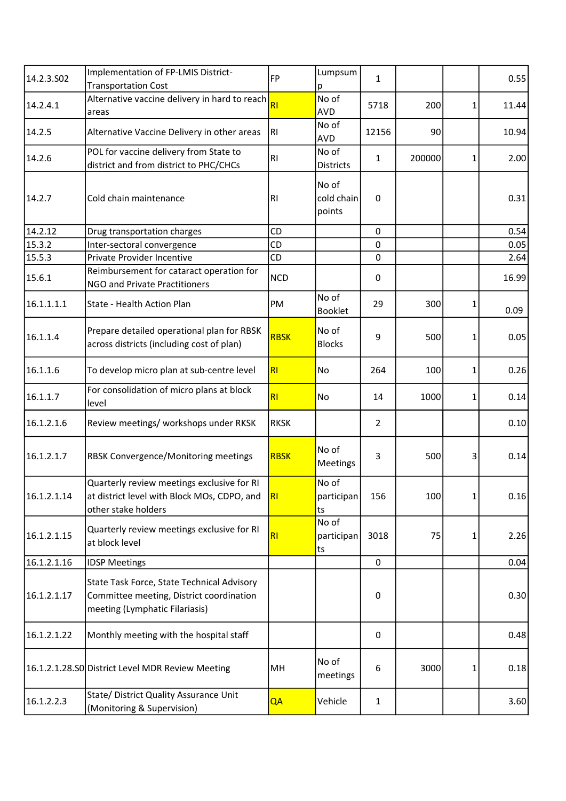| 14.2.3.502  | Implementation of FP-LMIS District-<br><b>Transportation Cost</b>                                                        | <b>FP</b>   | Lumpsum<br>p                  | 1                |        |   | 0.55  |
|-------------|--------------------------------------------------------------------------------------------------------------------------|-------------|-------------------------------|------------------|--------|---|-------|
| 14.2.4.1    | Alternative vaccine delivery in hard to reach<br>areas                                                                   | <b>RI</b>   | No of<br><b>AVD</b>           | 5718             | 200    | 1 | 11.44 |
| 14.2.5      | Alternative Vaccine Delivery in other areas                                                                              | RI          | No of<br><b>AVD</b>           | 12156            | 90     |   | 10.94 |
| 14.2.6      | POL for vaccine delivery from State to<br>district and from district to PHC/CHCs                                         | RI          | No of<br><b>Districts</b>     | 1                | 200000 | 1 | 2.00  |
| 14.2.7      | Cold chain maintenance                                                                                                   | RI          | No of<br>cold chain<br>points | $\boldsymbol{0}$ |        |   | 0.31  |
| 14.2.12     | Drug transportation charges                                                                                              | CD          |                               | 0                |        |   | 0.54  |
| 15.3.2      | Inter-sectoral convergence                                                                                               | <b>CD</b>   |                               | $\mathbf 0$      |        |   | 0.05  |
| 15.5.3      | Private Provider Incentive                                                                                               | CD          |                               | $\mathbf 0$      |        |   | 2.64  |
| 15.6.1      | Reimbursement for cataract operation for<br>NGO and Private Practitioners                                                | <b>NCD</b>  |                               | $\pmb{0}$        |        |   | 16.99 |
| 16.1.1.1.1  | State - Health Action Plan                                                                                               | PM          | No of<br><b>Booklet</b>       | 29               | 300    | 1 | 0.09  |
| 16.1.1.4    | Prepare detailed operational plan for RBSK<br>across districts (including cost of plan)                                  | <b>RBSK</b> | No of<br><b>Blocks</b>        | 9                | 500    | 1 | 0.05  |
| 16.1.1.6    | To develop micro plan at sub-centre level                                                                                | <b>RI</b>   | No                            | 264              | 100    | 1 | 0.26  |
| 16.1.1.7    | For consolidation of micro plans at block<br>level                                                                       | RI          | No                            | 14               | 1000   | 1 | 0.14  |
| 16.1.2.1.6  | Review meetings/ workshops under RKSK                                                                                    | <b>RKSK</b> |                               | $\overline{2}$   |        |   | 0.10  |
| 16.1.2.1.7  | RBSK Convergence/Monitoring meetings                                                                                     | <b>RBSK</b> | No of<br>Meetings             | 3                | 500    | 3 | 0.14  |
| 16.1.2.1.14 | Quarterly review meetings exclusive for RI<br>at district level with Block MOs, CDPO, and<br>other stake holders         | R           | No of<br>participan<br>ts     | 156              | 100    | 1 | 0.16  |
| 16.1.2.1.15 | Quarterly review meetings exclusive for RI<br>at block level                                                             | RI          | No of<br>participan<br>ts     | 3018             | 75     | 1 | 2.26  |
| 16.1.2.1.16 | <b>IDSP Meetings</b>                                                                                                     |             |                               | $\boldsymbol{0}$ |        |   | 0.04  |
| 16.1.2.1.17 | State Task Force, State Technical Advisory<br>Committee meeting, District coordination<br>meeting (Lymphatic Filariasis) |             |                               | 0                |        |   | 0.30  |
| 16.1.2.1.22 | Monthly meeting with the hospital staff                                                                                  |             |                               | 0                |        |   | 0.48  |
|             | 16.1.2.1.28.S0 District Level MDR Review Meeting                                                                         | MН          | No of<br>meetings             | 6                | 3000   | 1 | 0.18  |
| 16.1.2.2.3  | State/ District Quality Assurance Unit<br>(Monitoring & Supervision)                                                     | QA          | Vehicle                       | $\mathbf{1}$     |        |   | 3.60  |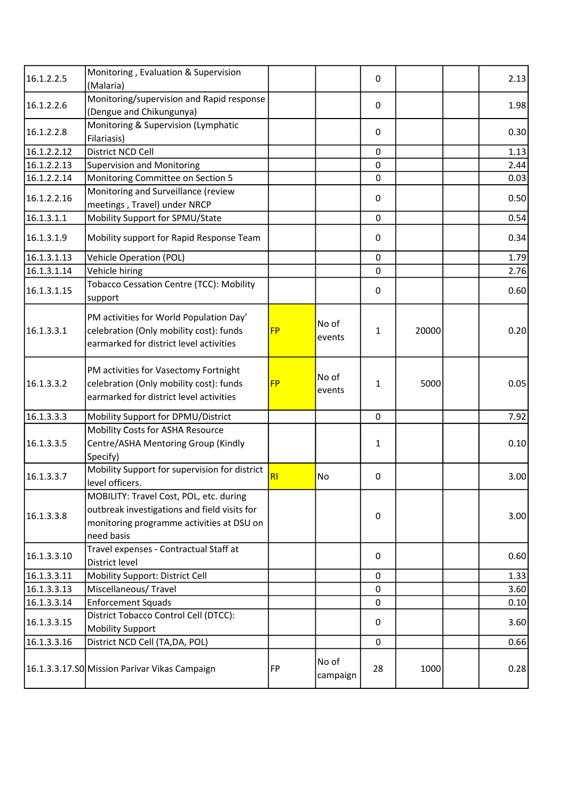| 16.1.2.2.5  | Monitoring, Evaluation & Supervision<br>(Malaria)                                                                                                  |           |                   | 0                |       | 2.13 |
|-------------|----------------------------------------------------------------------------------------------------------------------------------------------------|-----------|-------------------|------------------|-------|------|
| 16.1.2.2.6  | Monitoring/supervision and Rapid response<br>(Dengue and Chikungunya)                                                                              |           |                   | 0                |       | 1.98 |
| 16.1.2.2.8  | Monitoring & Supervision (Lymphatic<br>Filariasis)                                                                                                 |           |                   | 0                |       | 0.30 |
| 16.1.2.2.12 | District NCD Cell                                                                                                                                  |           |                   | 0                |       | 1.13 |
| 16.1.2.2.13 | <b>Supervision and Monitoring</b>                                                                                                                  |           |                   | $\mathbf 0$      |       | 2.44 |
| 16.1.2.2.14 | Monitoring Committee on Section 5                                                                                                                  |           |                   | 0                |       | 0.03 |
| 16.1.2.2.16 | Monitoring and Surveillance (review<br>meetings, Travel) under NRCP                                                                                |           |                   | 0                |       | 0.50 |
| 16.1.3.1.1  | Mobility Support for SPMU/State                                                                                                                    |           |                   | $\mathbf 0$      |       | 0.54 |
| 16.1.3.1.9  | Mobility support for Rapid Response Team                                                                                                           |           |                   | 0                |       | 0.34 |
| 16.1.3.1.13 | <b>Vehicle Operation (POL)</b>                                                                                                                     |           |                   | $\mathbf 0$      |       | 1.79 |
| 16.1.3.1.14 | Vehicle hiring                                                                                                                                     |           |                   | 0                |       | 2.76 |
| 16.1.3.1.15 | <b>Tobacco Cessation Centre (TCC): Mobility</b><br>support                                                                                         |           |                   | $\boldsymbol{0}$ |       | 0.60 |
| 16.1.3.3.1  | PM activities for World Population Day'<br>celebration (Only mobility cost): funds<br>earmarked for district level activities                      | <b>FP</b> | No of<br>events   | 1                | 20000 | 0.20 |
| 16.1.3.3.2  | PM activities for Vasectomy Fortnight<br>celebration (Only mobility cost): funds<br>earmarked for district level activities                        | <b>FP</b> | No of<br>events   | 1                | 5000  | 0.05 |
| 16.1.3.3.3  | Mobility Support for DPMU/District                                                                                                                 |           |                   | $\mathbf 0$      |       | 7.92 |
| 16.1.3.3.5  | Mobility Costs for ASHA Resource<br>Centre/ASHA Mentoring Group (Kindly<br>Specify)                                                                |           |                   | 1                |       | 0.10 |
| 16.1.3.3.7  | Mobility Support for supervision for district<br>level officers.                                                                                   | R1        | No                | 0                |       | 3.00 |
| 16.1.3.3.8  | MOBILITY: Travel Cost, POL, etc. during<br>outbreak investigations and field visits for<br>monitoring programme activities at DSU on<br>need basis |           |                   | 0                |       | 3.00 |
| 16.1.3.3.10 | Travel expenses - Contractual Staff at<br>District level                                                                                           |           |                   | 0                |       | 0.60 |
| 16.1.3.3.11 | Mobility Support: District Cell                                                                                                                    |           |                   | $\Omega$         |       | 1.33 |
| 16.1.3.3.13 | Miscellaneous/Travel                                                                                                                               |           |                   | $\mathbf 0$      |       | 3.60 |
| 16.1.3.3.14 | <b>Enforcement Squads</b>                                                                                                                          |           |                   | 0                |       | 0.10 |
| 16.1.3.3.15 | District Tobacco Control Cell (DTCC):<br><b>Mobility Support</b>                                                                                   |           |                   | 0                |       | 3.60 |
| 16.1.3.3.16 | District NCD Cell (TA,DA, POL)                                                                                                                     |           |                   | 0                |       | 0.66 |
|             | 16.1.3.3.17.SO Mission Parivar Vikas Campaign                                                                                                      | <b>FP</b> | No of<br>campaign | 28               | 1000  | 0.28 |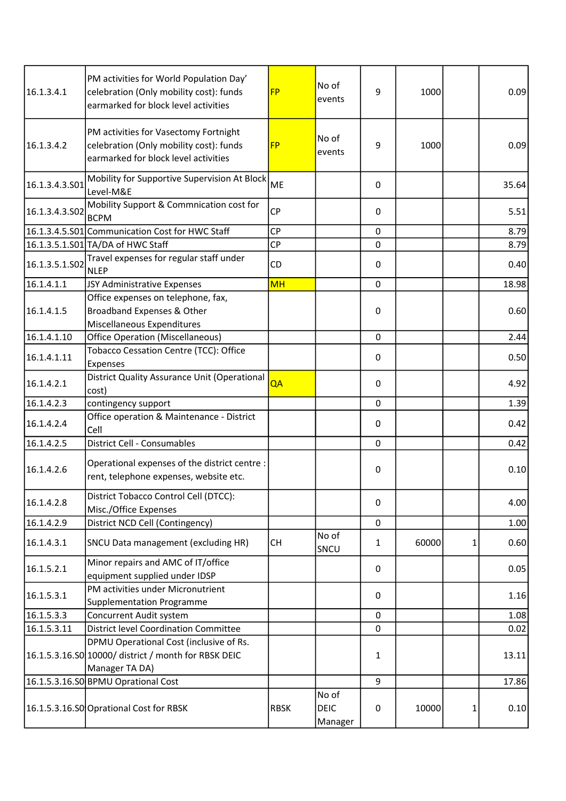| 16.1.3.4.1     | PM activities for World Population Day'<br>celebration (Only mobility cost): funds<br>earmarked for block level activities | <b>FP</b>   | No of<br>events                 | 9            | 1000  |   | 0.09  |
|----------------|----------------------------------------------------------------------------------------------------------------------------|-------------|---------------------------------|--------------|-------|---|-------|
| 16.1.3.4.2     | PM activities for Vasectomy Fortnight<br>celebration (Only mobility cost): funds<br>earmarked for block level activities   | <b>FP</b>   | No of<br>events                 | 9            | 1000  |   | 0.09  |
| 16.1.3.4.3.501 | Mobility for Supportive Supervision At Block<br>Level-M&E                                                                  | ME          |                                 | 0            |       |   | 35.64 |
| 16.1.3.4.3.502 | Mobility Support & Commnication cost for<br><b>BCPM</b>                                                                    | <b>CP</b>   |                                 | 0            |       |   | 5.51  |
|                | 16.1.3.4.5.S01 Communication Cost for HWC Staff                                                                            | <b>CP</b>   |                                 | 0            |       |   | 8.79  |
|                | 16.1.3.5.1.S01 TA/DA of HWC Staff                                                                                          | <b>CP</b>   |                                 | 0            |       |   | 8.79  |
| 16.1.3.5.1.S02 | Travel expenses for regular staff under<br><b>NLEP</b>                                                                     | CD          |                                 | 0            |       |   | 0.40  |
| 16.1.4.1.1     | JSY Administrative Expenses                                                                                                | <b>MH</b>   |                                 | 0            |       |   | 18.98 |
| 16.1.4.1.5     | Office expenses on telephone, fax,<br>Broadband Expenses & Other<br>Miscellaneous Expenditures                             |             |                                 | 0            |       |   | 0.60  |
| 16.1.4.1.10    | <b>Office Operation (Miscellaneous)</b>                                                                                    |             |                                 | $\Omega$     |       |   | 2.44  |
| 16.1.4.1.11    | Tobacco Cessation Centre (TCC): Office<br>Expenses                                                                         |             |                                 | 0            |       |   | 0.50  |
| 16.1.4.2.1     | District Quality Assurance Unit (Operational<br>cost)                                                                      | QA          |                                 | 0            |       |   | 4.92  |
| 16.1.4.2.3     | contingency support                                                                                                        |             |                                 | 0            |       |   | 1.39  |
| 16.1.4.2.4     | Office operation & Maintenance - District<br>Cell                                                                          |             |                                 | 0            |       |   | 0.42  |
| 16.1.4.2.5     | <b>District Cell - Consumables</b>                                                                                         |             |                                 | 0            |       |   | 0.42  |
| 16.1.4.2.6     | Operational expenses of the district centre :<br>rent, telephone expenses, website etc.                                    |             |                                 | 0            |       |   | 0.10  |
| 16.1.4.2.8     | District Tobacco Control Cell (DTCC):<br>Misc./Office Expenses                                                             |             |                                 | 0            |       |   | 4.00  |
| 16.1.4.2.9     | District NCD Cell (Contingency)                                                                                            |             |                                 | 0            |       |   | 1.00  |
| 16.1.4.3.1     | SNCU Data management (excluding HR)                                                                                        | <b>CH</b>   | No of<br>SNCU                   | $\mathbf{1}$ | 60000 | 1 | 0.60  |
| 16.1.5.2.1     | Minor repairs and AMC of IT/office<br>equipment supplied under IDSP                                                        |             |                                 | 0            |       |   | 0.05  |
| 16.1.5.3.1     | PM activities under Micronutrient<br><b>Supplementation Programme</b>                                                      |             |                                 | 0            |       |   | 1.16  |
| 16.1.5.3.3     | <b>Concurrent Audit system</b>                                                                                             |             |                                 | 0            |       |   | 1.08  |
| 16.1.5.3.11    | <b>District level Coordination Committee</b>                                                                               |             |                                 | $\Omega$     |       |   | 0.02  |
|                | DPMU Operational Cost (inclusive of Rs.<br>16.1.5.3.16.S0 10000/ district / month for RBSK DEIC<br>Manager TA DA)          |             |                                 | 1            |       |   | 13.11 |
|                | 16.1.5.3.16.S0 BPMU Oprational Cost                                                                                        |             |                                 | 9            |       |   | 17.86 |
|                | 16.1.5.3.16.S0 Oprational Cost for RBSK                                                                                    | <b>RBSK</b> | No of<br><b>DEIC</b><br>Manager | $\pmb{0}$    | 10000 | 1 | 0.10  |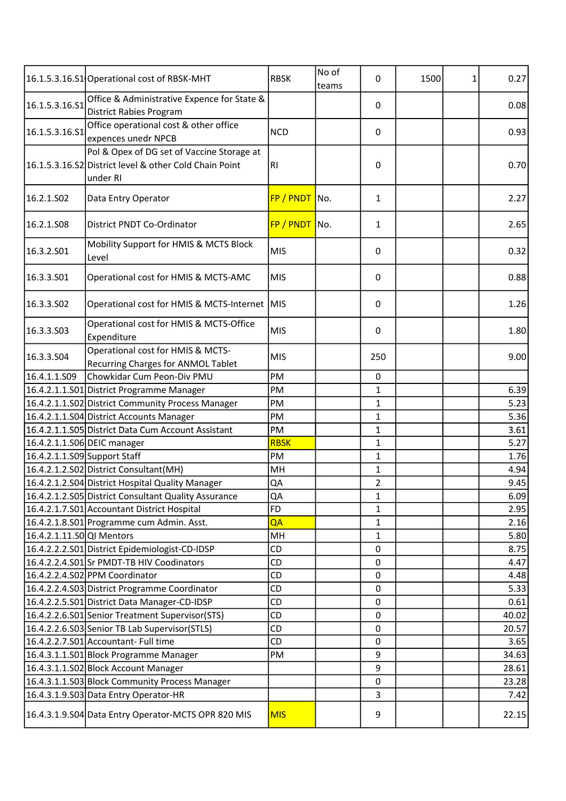|                              | 16.1.5.3.16.S1 Operational cost of RBSK-MHT                                                                      | <b>RBSK</b>     | No of<br>teams | 0            | 1500 | 1 | 0.27  |
|------------------------------|------------------------------------------------------------------------------------------------------------------|-----------------|----------------|--------------|------|---|-------|
| 16.1.5.3.16.51               | Office & Administrative Expence for State &<br><b>District Rabies Program</b>                                    |                 |                | 0            |      |   | 0.08  |
| 16.1.5.3.16.S1               | Office operational cost & other office<br>expences unedr NPCB                                                    | <b>NCD</b>      |                | 0            |      |   | 0.93  |
|                              | Pol & Opex of DG set of Vaccine Storage at<br>16.1.5.3.16.S2 District level & other Cold Chain Point<br>under RI | <b>RI</b>       |                | 0            |      |   | 0.70  |
| 16.2.1.SO2                   | Data Entry Operator                                                                                              | FP / PNDT No.   |                | 1            |      |   | 2.27  |
| 16.2.1.S08                   | District PNDT Co-Ordinator                                                                                       | $FP / PNDT$ No. |                | 1            |      |   | 2.65  |
| 16.3.2.S01                   | Mobility Support for HMIS & MCTS Block<br>Level                                                                  | <b>MIS</b>      |                | 0            |      |   | 0.32  |
| 16.3.3.S01                   | Operational cost for HMIS & MCTS-AMC                                                                             | <b>MIS</b>      |                | 0            |      |   | 0.88  |
| 16.3.3.S02                   | Operational cost for HMIS & MCTS-Internet MIS                                                                    |                 |                | 0            |      |   | 1.26  |
| 16.3.3.503                   | Operational cost for HMIS & MCTS-Office<br>Expenditure                                                           | <b>MIS</b>      |                | 0            |      |   | 1.80  |
| 16.3.3.504                   | Operational cost for HMIS & MCTS-<br>Recurring Charges for ANMOL Tablet                                          | <b>MIS</b>      |                | 250          |      |   | 9.00  |
| 16.4.1.1.509                 | Chowkidar Cum Peon-Div PMU                                                                                       | PM              |                | 0            |      |   |       |
|                              | 16.4.2.1.1.S01 District Programme Manager                                                                        | PM              |                | $\mathbf{1}$ |      |   | 6.39  |
|                              | 16.4.2.1.1.S02 District Community Process Manager                                                                | PM              |                | 1            |      |   | 5.23  |
|                              | 16.4.2.1.1.S04 District Accounts Manager                                                                         | PM              |                | 1            |      |   | 5.36  |
|                              | 16.4.2.1.1.S05 District Data Cum Account Assistant                                                               | PM              |                | 1            |      |   | 3.61  |
|                              | 16.4.2.1.1.S06 DEIC manager                                                                                      | <b>RBSK</b>     |                | 1            |      |   | 5.27  |
| 16.4.2.1.1.S09 Support Staff |                                                                                                                  | PM              |                | 1            |      |   | 1.76  |
|                              | 16.4.2.1.2.S02 District Consultant (MH)                                                                          | MH              |                | 1            |      |   | 4.94  |
|                              | 16.4.2.1.2.S04 District Hospital Quality Manager                                                                 | QA              |                | 2            |      |   | 9.45  |
|                              | 16.4.2.1.2.S05 District Consultant Quality Assurance                                                             | QA              |                | 1            |      |   | 6.09  |
|                              | 16.4.2.1.7.S01 Accountant District Hospital                                                                      | <b>FD</b>       |                | 1            |      |   | 2.95  |
|                              | 16.4.2.1.8.S01 Programme cum Admin. Asst.                                                                        | QA              |                | 1            |      |   | 2.16  |
| 16.4.2.1.11.S0 QI Mentors    |                                                                                                                  | MH              |                | 1            |      |   | 5.80  |
|                              | 16.4.2.2.2.S01 District Epidemiologist-CD-IDSP                                                                   | <b>CD</b>       |                | 0            |      |   | 8.75  |
|                              | 16.4.2.2.4.S01 Sr PMDT-TB HIV Coodinators                                                                        | CD              |                | 0            |      |   | 4.47  |
|                              | 16.4.2.2.4.S02 PPM Coordinator                                                                                   | CD              |                | 0            |      |   | 4.48  |
|                              | 16.4.2.2.4.S03 District Programme Coordinator                                                                    | CD              |                | $\mathbf 0$  |      |   | 5.33  |
|                              | 16.4.2.2.5.S01 District Data Manager-CD-IDSP                                                                     | CD              |                | 0            |      |   | 0.61  |
|                              | 16.4.2.2.6.S01 Senior Treatment Supervisor (STS)                                                                 | CD              |                | 0            |      |   | 40.02 |
|                              | 16.4.2.2.6.S03 Senior TB Lab Supervisor (STLS)                                                                   | CD              |                | 0            |      |   | 20.57 |
|                              | 16.4.2.2.7.S01 Accountant- Full time                                                                             | CD              |                | 0            |      |   | 3.65  |
|                              | 16.4.3.1.1.S01 Block Programme Manager                                                                           | PM              |                | 9            |      |   | 34.63 |
|                              | 16.4.3.1.1.S02 Block Account Manager                                                                             |                 |                | 9            |      |   | 28.61 |
|                              | 16.4.3.1.1.S03 Block Community Process Manager                                                                   |                 |                | 0            |      |   | 23.28 |
|                              | 16.4.3.1.9.S03 Data Entry Operator-HR                                                                            |                 |                | 3            |      |   | 7.42  |
|                              | 16.4.3.1.9.S04 Data Entry Operator-MCTS OPR 820 MIS                                                              | <b>MIS</b>      |                | 9            |      |   | 22.15 |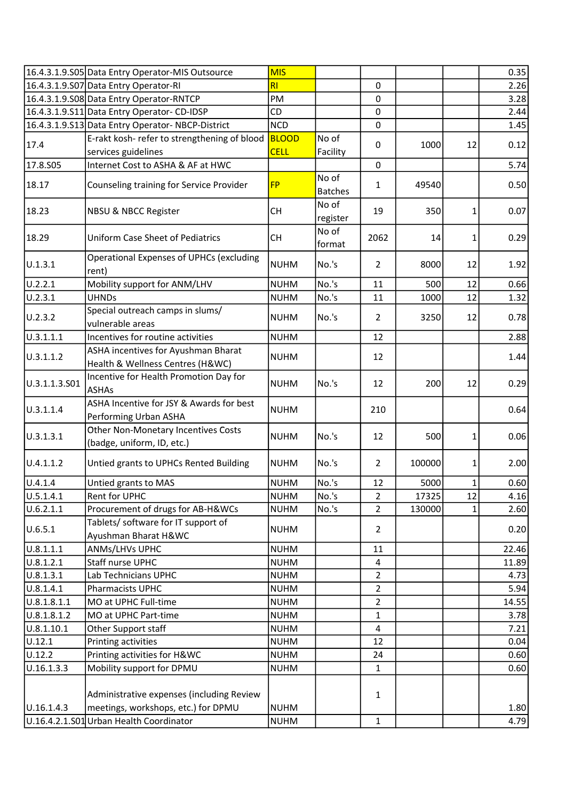|                      | 16.4.3.1.9.S05 Data Entry Operator-MIS Outsource                        | <b>MIS</b>   |                         |                |        |    | 0.35  |
|----------------------|-------------------------------------------------------------------------|--------------|-------------------------|----------------|--------|----|-------|
|                      | 16.4.3.1.9.S07 Data Entry Operator-RI                                   | RI           |                         | $\Omega$       |        |    | 2.26  |
|                      | 16.4.3.1.9.S08 Data Entry Operator-RNTCP                                | PM           |                         | $\mathbf 0$    |        |    | 3.28  |
|                      | 16.4.3.1.9.S11 Data Entry Operator-CD-IDSP                              | CD           |                         | $\pmb{0}$      |        |    | 2.44  |
|                      | 16.4.3.1.9.S13 Data Entry Operator-NBCP-District                        | <b>NCD</b>   |                         | $\mathbf 0$    |        |    | 1.45  |
|                      | E-rakt kosh- refer to strengthening of blood                            | <b>BLOOD</b> | No of                   |                | 1000   | 12 | 0.12  |
| 17.4                 | services guidelines                                                     | <b>CELL</b>  | Facility                | 0              |        |    |       |
| 17.8.505             | Internet Cost to ASHA & AF at HWC                                       |              |                         | 0              |        |    | 5.74  |
| 18.17                | Counseling training for Service Provider                                | <b>FP</b>    | No of<br><b>Batches</b> | 1              | 49540  |    | 0.50  |
| 18.23                | <b>NBSU &amp; NBCC Register</b>                                         | <b>CH</b>    | No of<br>register       | 19             | 350    | 1  | 0.07  |
| 18.29                | <b>Uniform Case Sheet of Pediatrics</b>                                 | <b>CH</b>    | No of<br>format         | 2062           | 14     | 1  | 0.29  |
| U.1.3.1              | Operational Expenses of UPHCs (excluding<br>rent)                       | <b>NUHM</b>  | No.'s                   | $\overline{2}$ | 8000   | 12 | 1.92  |
| $\overline{U.2.2.1}$ | Mobility support for ANM/LHV                                            | <b>NUHM</b>  | No.'s                   | 11             | 500    | 12 | 0.66  |
| U.2.3.1              | <b>UHNDs</b>                                                            | <b>NUHM</b>  | No.'s                   | 11             | 1000   | 12 | 1.32  |
| U.2.3.2              | Special outreach camps in slums/<br>vulnerable areas                    | <b>NUHM</b>  | No.'s                   | $\overline{2}$ | 3250   | 12 | 0.78  |
| 0.3.1.1.1            | Incentives for routine activities                                       | <b>NUHM</b>  |                         | 12             |        |    | 2.88  |
| U.3.1.1.2            | ASHA incentives for Ayushman Bharat<br>Health & Wellness Centres (H&WC) | <b>NUHM</b>  |                         | 12             |        |    | 1.44  |
| U.3.1.1.3.S01        | Incentive for Health Promotion Day for<br><b>ASHAs</b>                  | <b>NUHM</b>  | No.'s                   | 12             | 200    | 12 | 0.29  |
| U.3.1.1.4            | ASHA Incentive for JSY & Awards for best<br>Performing Urban ASHA       | <b>NUHM</b>  |                         | 210            |        |    | 0.64  |
| U.3.1.3.1            | Other Non-Monetary Incentives Costs<br>(badge, uniform, ID, etc.)       | <b>NUHM</b>  | No.'s                   | 12             | 500    | 1  | 0.06  |
| U.4.1.1.2            | Untied grants to UPHCs Rented Building                                  | <b>NUHM</b>  | No.'s                   | $\overline{2}$ | 100000 | 1  | 2.00  |
| U.4.1.4              | Untied grants to MAS                                                    | <b>NUHM</b>  | No.'s                   | 12             | 5000   | 1  | 0.60  |
| U.5.1.4.1            | Rent for UPHC                                                           | NUHM         | No.'s                   | 2              | 17325  | 12 | 4.16  |
| U.6.2.1.1            | Procurement of drugs for AB-H&WCs                                       | <b>NUHM</b>  | No.'s                   | $\overline{2}$ | 130000 | 1  | 2.60  |
| U.6.5.1              | Tablets/ software for IT support of<br>Ayushman Bharat H&WC             | <b>NUHM</b>  |                         | $\overline{2}$ |        |    | 0.20  |
| U.8.1.1.1            | ANMs/LHVs UPHC                                                          | <b>NUHM</b>  |                         | 11             |        |    | 22.46 |
| U.8.1.2.1            | Staff nurse UPHC                                                        | <b>NUHM</b>  |                         | 4              |        |    | 11.89 |
| U.8.1.3.1            | Lab Technicians UPHC                                                    | <b>NUHM</b>  |                         | $\overline{2}$ |        |    | 4.73  |
| U.8.1.4.1            | <b>Pharmacists UPHC</b>                                                 | <b>NUHM</b>  |                         | $\overline{2}$ |        |    | 5.94  |
| U.8.1.8.1.1          | MO at UPHC Full-time                                                    | <b>NUHM</b>  |                         | $\overline{2}$ |        |    | 14.55 |
| U.8.1.8.1.2          | MO at UPHC Part-time                                                    | <b>NUHM</b>  |                         | 1              |        |    | 3.78  |
| 0.8.1.10.1           | Other Support staff                                                     | <b>NUHM</b>  |                         | 4              |        |    | 7.21  |
| U.12.1               | Printing activities                                                     | <b>NUHM</b>  |                         | 12             |        |    | 0.04  |
| U.12.2               | Printing activities for H&WC                                            | <b>NUHM</b>  |                         | 24             |        |    | 0.60  |
| U.16.1.3.3           | Mobility support for DPMU                                               | <b>NUHM</b>  |                         | $\mathbf{1}$   |        |    | 0.60  |
|                      |                                                                         |              |                         |                |        |    |       |
|                      | Administrative expenses (including Review                               |              |                         | $\mathbf{1}$   |        |    |       |
| U.16.1.4.3           | meetings, workshops, etc.) for DPMU                                     | <b>NUHM</b>  |                         |                |        |    | 1.80  |
|                      | U.16.4.2.1.S01 Urban Health Coordinator                                 | <b>NUHM</b>  |                         | $\mathbf{1}$   |        |    | 4.79  |